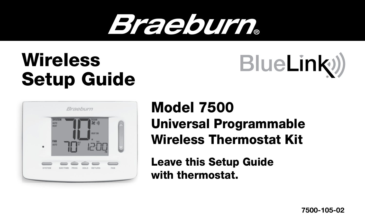# Braeburn.

### Wireless Setup Guide





#### Model 7500 Universal Programmable Wireless Thermostat Kit

Leave this Setup Guide with thermostat.

7500-105-02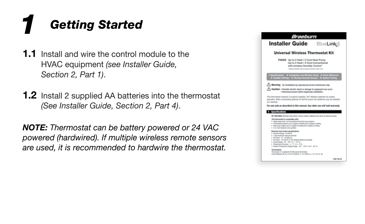#### *Getting Started 1*

- **1.1** Install and wire the control module to the HVAC equipment *(see Installer Guide, Section 2, Part 1)*.
- **1.2** Install 2 supplied AA batteries into the thermostat *(See Installer Guide, Section 2, Part 4)*.

*NOTE: Thermostat can be battery powered or 24 VAC powered (hardwired). If multiple wireless remote sensors are used, it is recommended to hardwire the thermostat.*

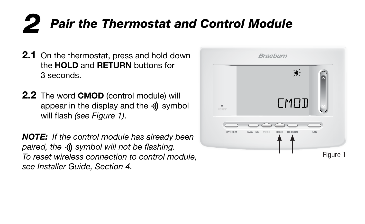## *2 Pair the Thermostat and Control Module*

- **2.1** On the thermostat, press and hold down the HOLD and RETURN buttons for 3 seconds.
- **2.2** The word **CMOD** (control module) will appear in the display and the  $\psi$  symbol will flash *(see Figure 1)*.

*NOTE: If the control module has already been paired, the symbol will not be flashing. To reset wireless connection to control module, see Installer Guide, Section 4.*

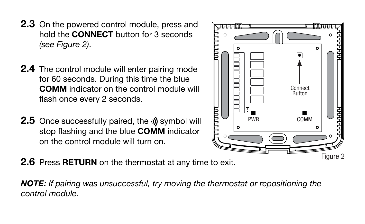- **2.3** On the powered control module, press and hold the CONNECT button for 3 seconds *(see Figure 2)*.
- **2.4** The control module will enter pairing mode for 60 seconds. During this time the blue COMM indicator on the control module will flash once every 2 seconds.
- **2.5** Once successfully paired, the **s**ymbol will stop flashing and the blue **COMM** indicator on the control module will turn on.



**2.6** Press **RETURN** on the thermostat at any time to exit.

*NOTE: If pairing was unsuccessful, try moving the thermostat or repositioning the control module.*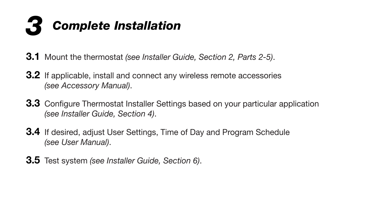

- 3.1 Mount the thermostat *(see Installer Guide, Section 2, Parts 2-5)*.
- **3.2** If applicable, install and connect any wireless remote accessories *(see Accessory Manual)*.
- **3.3** Configure Thermostat Installer Settings based on your particular application *(see Installer Guide, Section 4)*.
- **3.4** If desired, adjust User Settings, Time of Day and Program Schedule *(see User Manual)*.
- 3.5 Test system *(see Installer Guide, Section 6)*.